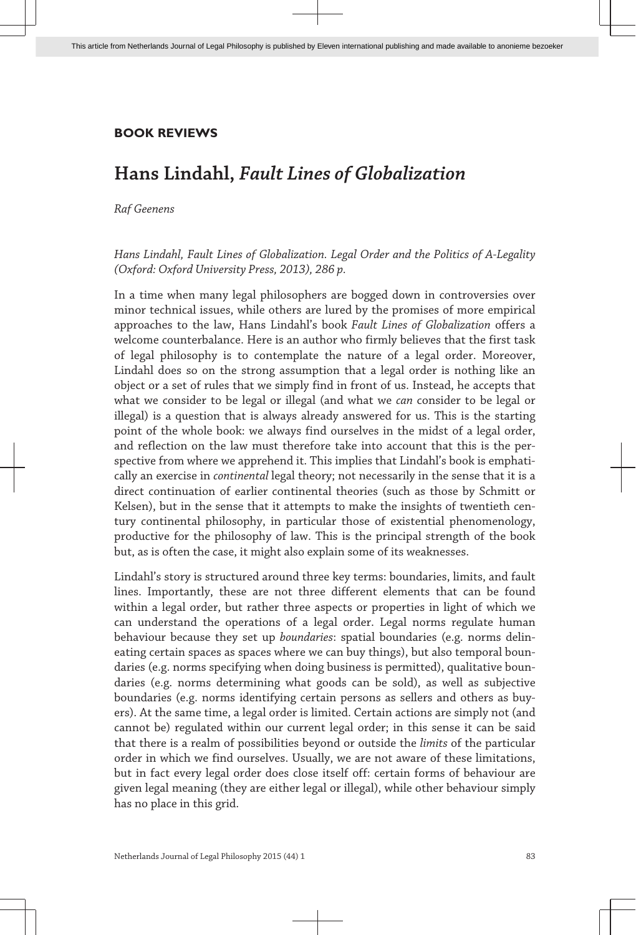# **BOOK REVIEWS**

# **Hans Lindahl,** *Fault Lines of Globalization*

### *Raf Geenens*

## *Hans Lindahl, Fault Lines of Globalization. Legal Order and the Politics of A-Legality (Oxford: Oxford University Press, 2013), 286 p.*

In a time when many legal philosophers are bogged down in controversies over minor technical issues, while others are lured by the promises of more empirical approaches to the law, Hans Lindahl's book *Fault Lines of Globalization* offers a welcome counterbalance. Here is an author who firmly believes that the first task of legal philosophy is to contemplate the nature of a legal order. Moreover, Lindahl does so on the strong assumption that a legal order is nothing like an object or a set of rules that we simply find in front of us. Instead, he accepts that what we consider to be legal or illegal (and what we *can* consider to be legal or illegal) is a question that is always already answered for us. This is the starting point of the whole book: we always find ourselves in the midst of a legal order, and reflection on the law must therefore take into account that this is the perspective from where we apprehend it. This implies that Lindahl's book is emphatically an exercise in *continental* legal theory; not necessarily in the sense that it is a direct continuation of earlier continental theories (such as those by Schmitt or Kelsen), but in the sense that it attempts to make the insights of twentieth century continental philosophy, in particular those of existential phenomenology, productive for the philosophy of law. This is the principal strength of the book but, as is often the case, it might also explain some of its weaknesses.

Lindahl's story is structured around three key terms: boundaries, limits, and fault lines. Importantly, these are not three different elements that can be found within a legal order, but rather three aspects or properties in light of which we can understand the operations of a legal order. Legal norms regulate human behaviour because they set up *boundaries*: spatial boundaries (e.g. norms delineating certain spaces as spaces where we can buy things), but also temporal boundaries (e.g. norms specifying when doing business is permitted), qualitative boundaries (e.g. norms determining what goods can be sold), as well as subjective boundaries (e.g. norms identifying certain persons as sellers and others as buyers). At the same time, a legal order is limited. Certain actions are simply not (and cannot be) regulated within our current legal order; in this sense it can be said that there is a realm of possibilities beyond or outside the *limits* of the particular order in which we find ourselves. Usually, we are not aware of these limitations, but in fact every legal order does close itself off: certain forms of behaviour are given legal meaning (they are either legal or illegal), while other behaviour simply has no place in this grid.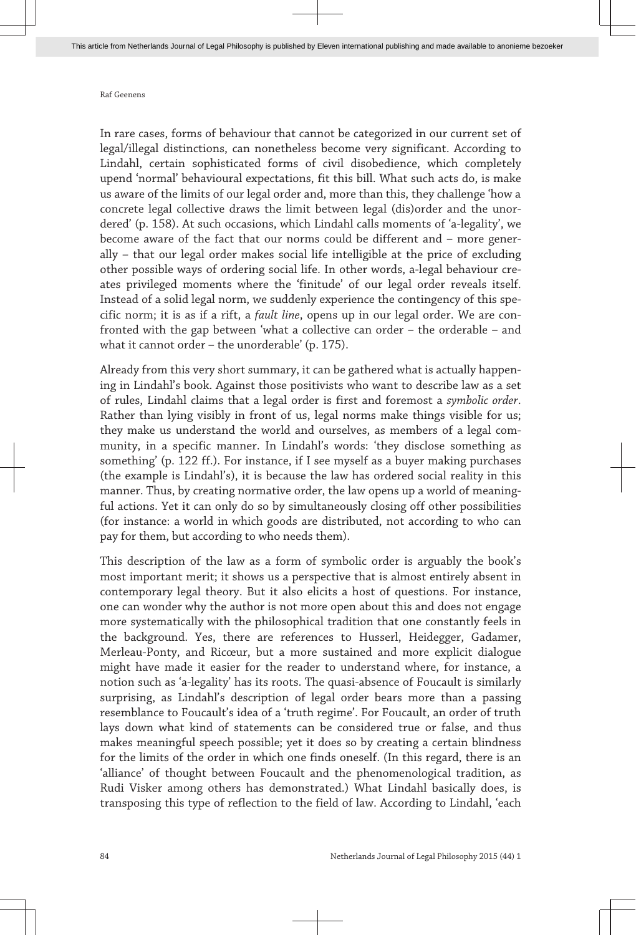#### Raf Geenens

In rare cases, forms of behaviour that cannot be categorized in our current set of legal/illegal distinctions, can nonetheless become very significant. According to Lindahl, certain sophisticated forms of civil disobedience, which completely upend 'normal' behavioural expectations, fit this bill. What such acts do, is make us aware of the limits of our legal order and, more than this, they challenge 'how a concrete legal collective draws the limit between legal (dis)order and the unordered' (p. 158). At such occasions, which Lindahl calls moments of 'a-legality', we become aware of the fact that our norms could be different and – more generally – that our legal order makes social life intelligible at the price of excluding other possible ways of ordering social life. In other words, a-legal behaviour creates privileged moments where the 'finitude' of our legal order reveals itself. Instead of a solid legal norm, we suddenly experience the contingency of this specific norm; it is as if a rift, a *fault line*, opens up in our legal order. We are confronted with the gap between 'what a collective can order – the orderable – and what it cannot order – the unorderable' (p. 175).

Already from this very short summary, it can be gathered what is actually happening in Lindahl's book. Against those positivists who want to describe law as a set of rules, Lindahl claims that a legal order is first and foremost a *symbolic order*. Rather than lying visibly in front of us, legal norms make things visible for us; they make us understand the world and ourselves, as members of a legal community, in a specific manner. In Lindahl's words: 'they disclose something as something' (p. 122 ff.). For instance, if I see myself as a buyer making purchases (the example is Lindahl's), it is because the law has ordered social reality in this manner. Thus, by creating normative order, the law opens up a world of meaningful actions. Yet it can only do so by simultaneously closing off other possibilities (for instance: a world in which goods are distributed, not according to who can pay for them, but according to who needs them).

This description of the law as a form of symbolic order is arguably the book's most important merit; it shows us a perspective that is almost entirely absent in contemporary legal theory. But it also elicits a host of questions. For instance, one can wonder why the author is not more open about this and does not engage more systematically with the philosophical tradition that one constantly feels in the background. Yes, there are references to Husserl, Heidegger, Gadamer, Merleau-Ponty, and Ricœur, but a more sustained and more explicit dialogue might have made it easier for the reader to understand where, for instance, a notion such as 'a-legality' has its roots. The quasi-absence of Foucault is similarly surprising, as Lindahl's description of legal order bears more than a passing resemblance to Foucault's idea of a 'truth regime'. For Foucault, an order of truth lays down what kind of statements can be considered true or false, and thus makes meaningful speech possible; yet it does so by creating a certain blindness for the limits of the order in which one finds oneself. (In this regard, there is an 'alliance' of thought between Foucault and the phenomenological tradition, as Rudi Visker among others has demonstrated.) What Lindahl basically does, is transposing this type of reflection to the field of law. According to Lindahl, 'each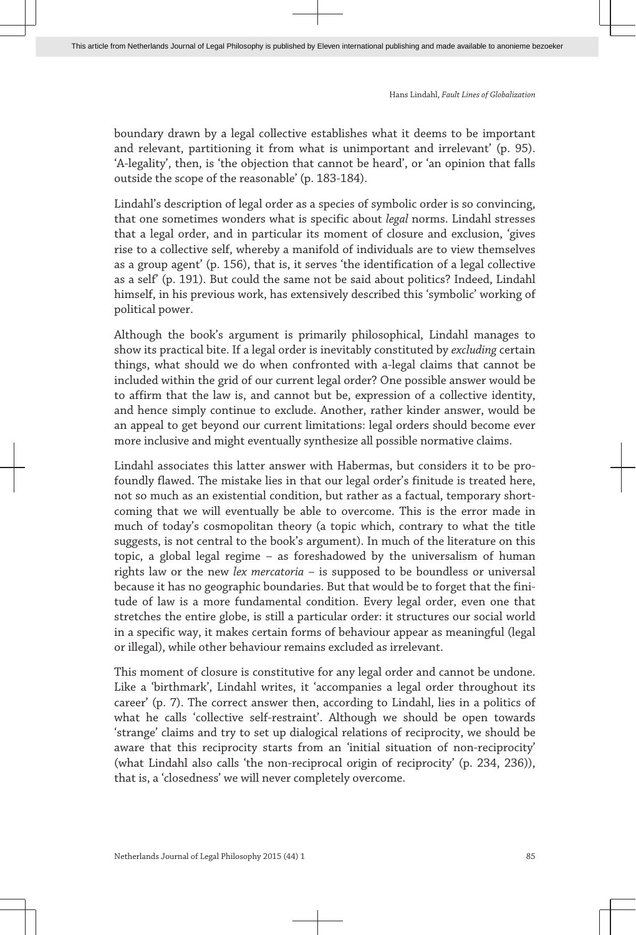Hans Lindahl, *Fault Lines of Globalization*

boundary drawn by a legal collective establishes what it deems to be important and relevant, partitioning it from what is unimportant and irrelevant' (p. 95). 'A-legality', then, is 'the objection that cannot be heard', or 'an opinion that falls outside the scope of the reasonable' (p. 183-184).

Lindahl's description of legal order as a species of symbolic order is so convincing, that one sometimes wonders what is specific about *legal* norms. Lindahl stresses that a legal order, and in particular its moment of closure and exclusion, 'gives rise to a collective self, whereby a manifold of individuals are to view themselves as a group agent' (p. 156), that is, it serves 'the identification of a legal collective as a self' (p. 191). But could the same not be said about politics? Indeed, Lindahl himself, in his previous work, has extensively described this 'symbolic' working of political power.

Although the book's argument is primarily philosophical, Lindahl manages to show its practical bite. If a legal order is inevitably constituted by *excluding* certain things, what should we do when confronted with a-legal claims that cannot be included within the grid of our current legal order? One possible answer would be to affirm that the law is, and cannot but be, expression of a collective identity, and hence simply continue to exclude. Another, rather kinder answer, would be an appeal to get beyond our current limitations: legal orders should become ever more inclusive and might eventually synthesize all possible normative claims.

Lindahl associates this latter answer with Habermas, but considers it to be profoundly flawed. The mistake lies in that our legal order's finitude is treated here, not so much as an existential condition, but rather as a factual, temporary shortcoming that we will eventually be able to overcome. This is the error made in much of today's cosmopolitan theory (a topic which, contrary to what the title suggests, is not central to the book's argument). In much of the literature on this topic, a global legal regime – as foreshadowed by the universalism of human rights law or the new *lex mercatoria* – is supposed to be boundless or universal because it has no geographic boundaries. But that would be to forget that the finitude of law is a more fundamental condition. Every legal order, even one that stretches the entire globe, is still a particular order: it structures our social world in a specific way, it makes certain forms of behaviour appear as meaningful (legal or illegal), while other behaviour remains excluded as irrelevant.

This moment of closure is constitutive for any legal order and cannot be undone. Like a 'birthmark', Lindahl writes, it 'accompanies a legal order throughout its career' (p. 7). The correct answer then, according to Lindahl, lies in a politics of what he calls 'collective self-restraint'. Although we should be open towards 'strange' claims and try to set up dialogical relations of reciprocity, we should be aware that this reciprocity starts from an 'initial situation of non-reciprocity' (what Lindahl also calls 'the non-reciprocal origin of reciprocity' (p. 234, 236)), that is, a 'closedness' we will never completely overcome.